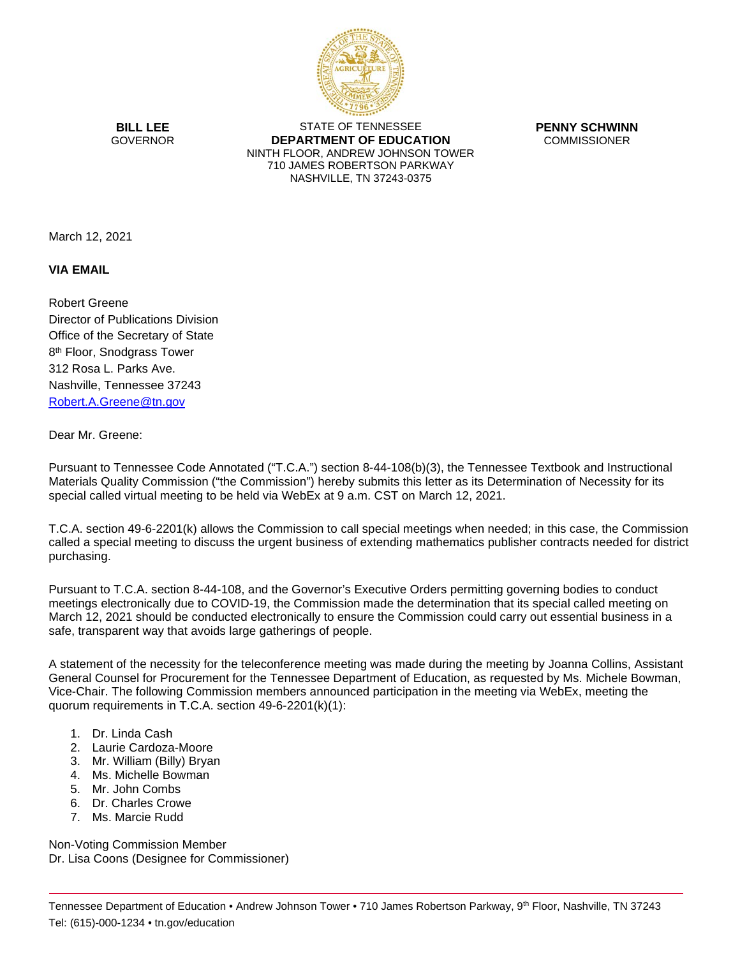

**BILL LEE** GOVERNOR

STATE OF TENNESSEE **DEPARTMENT OF EDUCATION** NINTH FLOOR, ANDREW JOHNSON TOWER 710 JAMES ROBERTSON PARKWAY NASHVILLE, TN 37243-0375

**PENNY SCHWINN** COMMISSIONER

March 12, 2021

## **VIA EMAIL**

Robert Greene Director of Publications Division Office of the Secretary of State 8<sup>th</sup> Floor, Snodgrass Tower 312 Rosa L. Parks Ave. Nashville, Tennessee 37243 [Robert.A.Greene@tn.gov](mailto:Robert.A.Greene@tn.gov)

## Dear Mr. Greene:

Pursuant to Tennessee Code Annotated ("T.C.A.") section 8-44-108(b)(3), the Tennessee Textbook and Instructional Materials Quality Commission ("the Commission") hereby submits this letter as its Determination of Necessity for its special called virtual meeting to be held via WebEx at 9 a.m. CST on March 12, 2021.

T.C.A. section 49-6-2201(k) allows the Commission to call special meetings when needed; in this case, the Commission called a special meeting to discuss the urgent business of extending mathematics publisher contracts needed for district purchasing.

Pursuant to T.C.A. section 8-44-108, and the Governor's Executive Orders permitting governing bodies to conduct meetings electronically due to COVID-19, the Commission made the determination that its special called meeting on March 12, 2021 should be conducted electronically to ensure the Commission could carry out essential business in a safe, transparent way that avoids large gatherings of people.

A statement of the necessity for the teleconference meeting was made during the meeting by Joanna Collins, Assistant General Counsel for Procurement for the Tennessee Department of Education, as requested by Ms. Michele Bowman, Vice-Chair. The following Commission members announced participation in the meeting via WebEx, meeting the quorum requirements in T.C.A. section 49-6-2201(k)(1):

- 1. Dr. Linda Cash
- 2. Laurie Cardoza-Moore
- 3. Mr. William (Billy) Bryan
- 4. Ms. Michelle Bowman
- 5. Mr. John Combs
- 6. Dr. Charles Crowe
- 7. Ms. Marcie Rudd

Non-Voting Commission Member Dr. Lisa Coons (Designee for Commissioner)